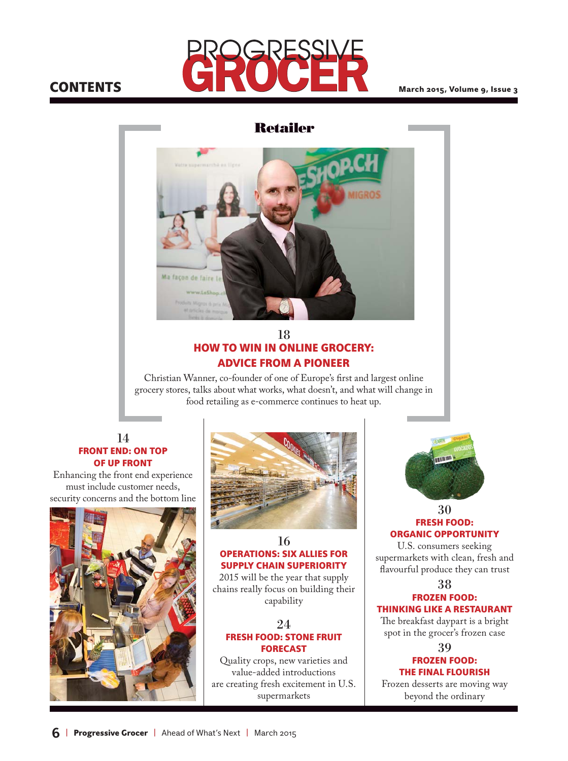# **CONTENTS**



March 2015, Volume 9, Issue 3

### **Retailer**



### 18 HOW TO WIN IN ONLINE GROCERY: ADVICE FROM A PIONEER

Christian Wanner, co-founder of one of Europe's first and largest online grocery stores, talks about what works, what doesn't, and what will change in food retailing as e-commerce continues to heat up.

#### 14 FRONT END: ON TOP OF UP FRONT

Enhancing the front end experience must include customer needs, security concerns and the bottom line





#### 16 OPERATIONS: SIX ALLIES FOR SUPPLY CHAIN SUPERIORITY

2015 will be the year that supply chains really focus on building their capability

24

### FRESH FOOD: STONE FRUIT FORECAST

Quality crops, new varieties and value-added introductions are creating fresh excitement in U.S. supermarkets



#### 30 FRESH FOOD: ORGANIC OPPORTUNITY

U.S. consumers seeking supermarkets with clean, fresh and flavourful produce they can trust

38

#### FROZEN FOOD: THINKING LIKE A RESTAURANT

The breakfast daypart is a bright spot in the grocer's frozen case

39

#### FROZEN FOOD: THE FINAL FLOURISH

Frozen desserts are moving way beyond the ordinary